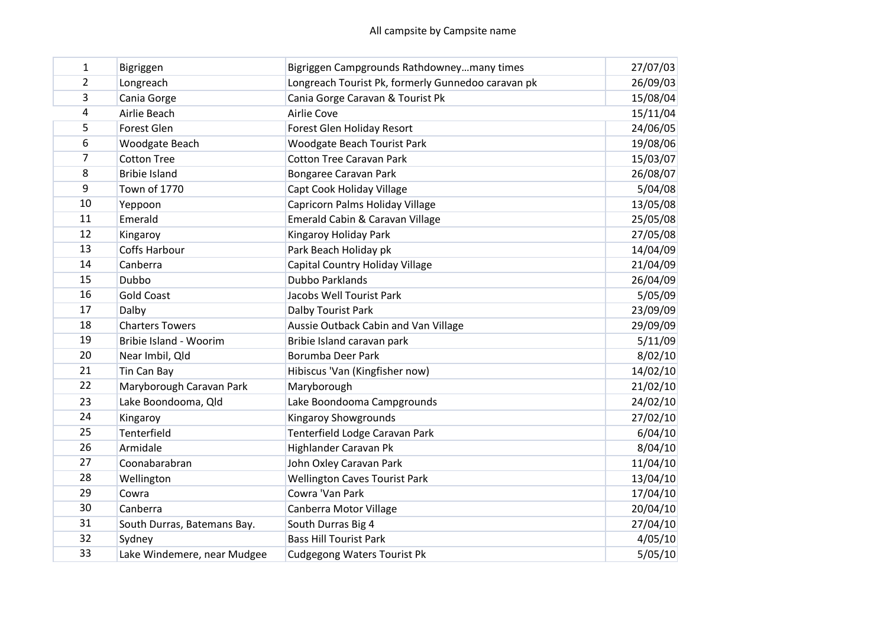| $\mathbf{1}$   | Bigriggen                   | Bigriggen Campgrounds Rathdowneymany times         | 27/07/03 |
|----------------|-----------------------------|----------------------------------------------------|----------|
| $\overline{2}$ | Longreach                   | Longreach Tourist Pk, formerly Gunnedoo caravan pk | 26/09/03 |
| 3              | Cania Gorge                 | Cania Gorge Caravan & Tourist Pk                   | 15/08/04 |
| $\overline{a}$ | Airlie Beach                | Airlie Cove                                        | 15/11/04 |
| 5              | Forest Glen                 | Forest Glen Holiday Resort                         | 24/06/05 |
| 6              | Woodgate Beach              | <b>Woodgate Beach Tourist Park</b>                 | 19/08/06 |
| 7              | <b>Cotton Tree</b>          | <b>Cotton Tree Caravan Park</b>                    | 15/03/07 |
| 8              | <b>Bribie Island</b>        | Bongaree Caravan Park                              | 26/08/07 |
| 9              | <b>Town of 1770</b>         | Capt Cook Holiday Village                          | 5/04/08  |
| 10             | Yeppoon                     | Capricorn Palms Holiday Village                    | 13/05/08 |
| 11             | Emerald                     | Emerald Cabin & Caravan Village                    | 25/05/08 |
| 12             | Kingaroy                    | Kingaroy Holiday Park                              | 27/05/08 |
| 13             | <b>Coffs Harbour</b>        | Park Beach Holiday pk                              | 14/04/09 |
| 14             | Canberra                    | Capital Country Holiday Village                    | 21/04/09 |
| 15             | Dubbo                       | <b>Dubbo Parklands</b>                             | 26/04/09 |
| 16             | <b>Gold Coast</b>           | Jacobs Well Tourist Park                           | 5/05/09  |
| 17             | Dalby                       | Dalby Tourist Park                                 | 23/09/09 |
| 18             | <b>Charters Towers</b>      | Aussie Outback Cabin and Van Village               | 29/09/09 |
| 19             | Bribie Island - Woorim      | Bribie Island caravan park                         | 5/11/09  |
| 20             | Near Imbil, Qld             | <b>Borumba Deer Park</b>                           | 8/02/10  |
| 21             | Tin Can Bay                 | Hibiscus 'Van (Kingfisher now)                     | 14/02/10 |
| 22             | Maryborough Caravan Park    | Maryborough                                        | 21/02/10 |
| 23             | Lake Boondooma, Qld         | Lake Boondooma Campgrounds                         | 24/02/10 |
| 24             | Kingaroy                    | <b>Kingaroy Showgrounds</b>                        | 27/02/10 |
| 25             | Tenterfield                 | Tenterfield Lodge Caravan Park                     | 6/04/10  |
| 26             | Armidale                    | Highlander Caravan Pk                              | 8/04/10  |
| 27             | Coonabarabran               | John Oxley Caravan Park                            | 11/04/10 |
| 28             | Wellington                  | <b>Wellington Caves Tourist Park</b>               | 13/04/10 |
| 29             | Cowra                       | Cowra 'Van Park                                    | 17/04/10 |
| 30             | Canberra                    | Canberra Motor Village                             | 20/04/10 |
| 31             | South Durras, Batemans Bay. | South Durras Big 4                                 | 27/04/10 |
| 32             | Sydney                      | <b>Bass Hill Tourist Park</b>                      | 4/05/10  |
| 33             | Lake Windemere, near Mudgee | <b>Cudgegong Waters Tourist Pk</b>                 | 5/05/10  |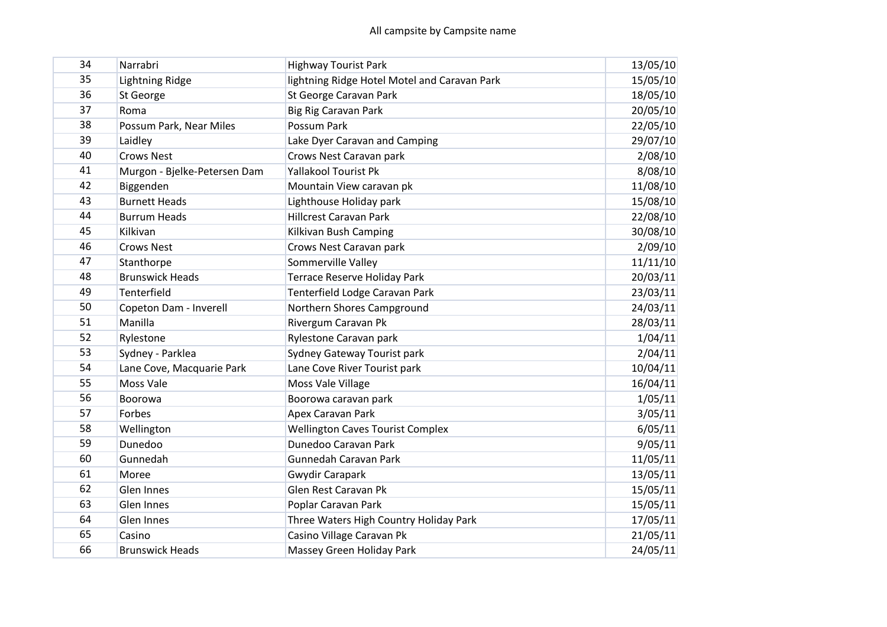| 34 | Narrabri                     | <b>Highway Tourist Park</b>                  | 13/05/10 |
|----|------------------------------|----------------------------------------------|----------|
| 35 | Lightning Ridge              | lightning Ridge Hotel Motel and Caravan Park | 15/05/10 |
| 36 | St George                    | St George Caravan Park                       | 18/05/10 |
| 37 | Roma                         | Big Rig Caravan Park                         | 20/05/10 |
| 38 | Possum Park, Near Miles      | Possum Park                                  | 22/05/10 |
| 39 | Laidley                      | Lake Dyer Caravan and Camping                | 29/07/10 |
| 40 | <b>Crows Nest</b>            | Crows Nest Caravan park                      | 2/08/10  |
| 41 | Murgon - Bjelke-Petersen Dam | <b>Yallakool Tourist Pk</b>                  | 8/08/10  |
| 42 | Biggenden                    | Mountain View caravan pk                     | 11/08/10 |
| 43 | <b>Burnett Heads</b>         | Lighthouse Holiday park                      | 15/08/10 |
| 44 | <b>Burrum Heads</b>          | <b>Hillcrest Caravan Park</b>                | 22/08/10 |
| 45 | Kilkivan                     | Kilkivan Bush Camping                        | 30/08/10 |
| 46 | <b>Crows Nest</b>            | Crows Nest Caravan park                      | 2/09/10  |
| 47 | Stanthorpe                   | Sommerville Valley                           | 11/11/10 |
| 48 | <b>Brunswick Heads</b>       | <b>Terrace Reserve Holiday Park</b>          | 20/03/11 |
| 49 | Tenterfield                  | Tenterfield Lodge Caravan Park               | 23/03/11 |
| 50 | Copeton Dam - Inverell       | Northern Shores Campground                   | 24/03/11 |
| 51 | Manilla                      | Rivergum Caravan Pk                          | 28/03/11 |
| 52 | Rylestone                    | Rylestone Caravan park                       | 1/04/11  |
| 53 | Sydney - Parklea             | Sydney Gateway Tourist park                  | 2/04/11  |
| 54 | Lane Cove, Macquarie Park    | Lane Cove River Tourist park                 | 10/04/11 |
| 55 | Moss Vale                    | Moss Vale Village                            | 16/04/11 |
| 56 | Boorowa                      | Boorowa caravan park                         | 1/05/11  |
| 57 | Forbes                       | Apex Caravan Park                            | 3/05/11  |
| 58 | Wellington                   | <b>Wellington Caves Tourist Complex</b>      | 6/05/11  |
| 59 | Dunedoo                      | Dunedoo Caravan Park                         | 9/05/11  |
| 60 | Gunnedah                     | Gunnedah Caravan Park                        | 11/05/11 |
| 61 | Moree                        | Gwydir Carapark                              | 13/05/11 |
| 62 | Glen Innes                   | Glen Rest Caravan Pk                         | 15/05/11 |
| 63 | Glen Innes                   | Poplar Caravan Park                          | 15/05/11 |
| 64 | Glen Innes                   | Three Waters High Country Holiday Park       | 17/05/11 |
| 65 | Casino                       | Casino Village Caravan Pk                    | 21/05/11 |
| 66 | <b>Brunswick Heads</b>       | Massey Green Holiday Park                    | 24/05/11 |
|    |                              |                                              |          |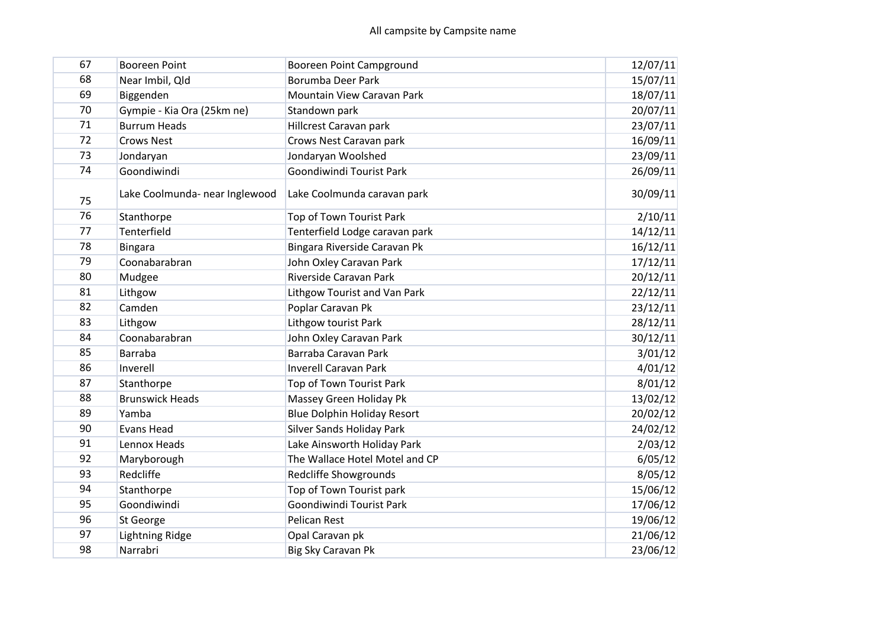| 67 | <b>Booreen Point</b>           | Booreen Point Campground           | 12/07/11 |
|----|--------------------------------|------------------------------------|----------|
| 68 | Near Imbil, Qld                | Borumba Deer Park                  | 15/07/11 |
| 69 | Biggenden                      | Mountain View Caravan Park         | 18/07/11 |
| 70 | Gympie - Kia Ora (25km ne)     | Standown park                      | 20/07/11 |
| 71 | <b>Burrum Heads</b>            | Hillcrest Caravan park             | 23/07/11 |
| 72 | <b>Crows Nest</b>              | Crows Nest Caravan park            | 16/09/11 |
| 73 | Jondaryan                      | Jondaryan Woolshed                 | 23/09/11 |
| 74 | Goondiwindi                    | Goondiwindi Tourist Park           | 26/09/11 |
| 75 | Lake Coolmunda- near Inglewood | Lake Coolmunda caravan park        | 30/09/11 |
| 76 | Stanthorpe                     | Top of Town Tourist Park           | 2/10/11  |
| 77 | Tenterfield                    | Tenterfield Lodge caravan park     | 14/12/11 |
| 78 | <b>Bingara</b>                 | Bingara Riverside Caravan Pk       | 16/12/11 |
| 79 | Coonabarabran                  | John Oxley Caravan Park            | 17/12/11 |
| 80 | Mudgee                         | Riverside Caravan Park             | 20/12/11 |
| 81 | Lithgow                        | Lithgow Tourist and Van Park       | 22/12/11 |
| 82 | Camden                         | Poplar Caravan Pk                  | 23/12/11 |
| 83 | Lithgow                        | Lithgow tourist Park               | 28/12/11 |
| 84 | Coonabarabran                  | John Oxley Caravan Park            | 30/12/11 |
| 85 | <b>Barraba</b>                 | Barraba Caravan Park               | 3/01/12  |
| 86 | Inverell                       | <b>Inverell Caravan Park</b>       | 4/01/12  |
| 87 | Stanthorpe                     | Top of Town Tourist Park           | 8/01/12  |
| 88 | <b>Brunswick Heads</b>         | Massey Green Holiday Pk            | 13/02/12 |
| 89 | Yamba                          | <b>Blue Dolphin Holiday Resort</b> | 20/02/12 |
| 90 | <b>Evans Head</b>              | <b>Silver Sands Holiday Park</b>   | 24/02/12 |
| 91 | Lennox Heads                   | Lake Ainsworth Holiday Park        | 2/03/12  |
| 92 | Maryborough                    | The Wallace Hotel Motel and CP     | 6/05/12  |
| 93 | Redcliffe                      | Redcliffe Showgrounds              | 8/05/12  |
| 94 | Stanthorpe                     | Top of Town Tourist park           | 15/06/12 |
| 95 | Goondiwindi                    | Goondiwindi Tourist Park           | 17/06/12 |
| 96 | St George                      | <b>Pelican Rest</b>                | 19/06/12 |
| 97 | <b>Lightning Ridge</b>         | Opal Caravan pk                    | 21/06/12 |
| 98 | Narrabri                       | Big Sky Caravan Pk                 | 23/06/12 |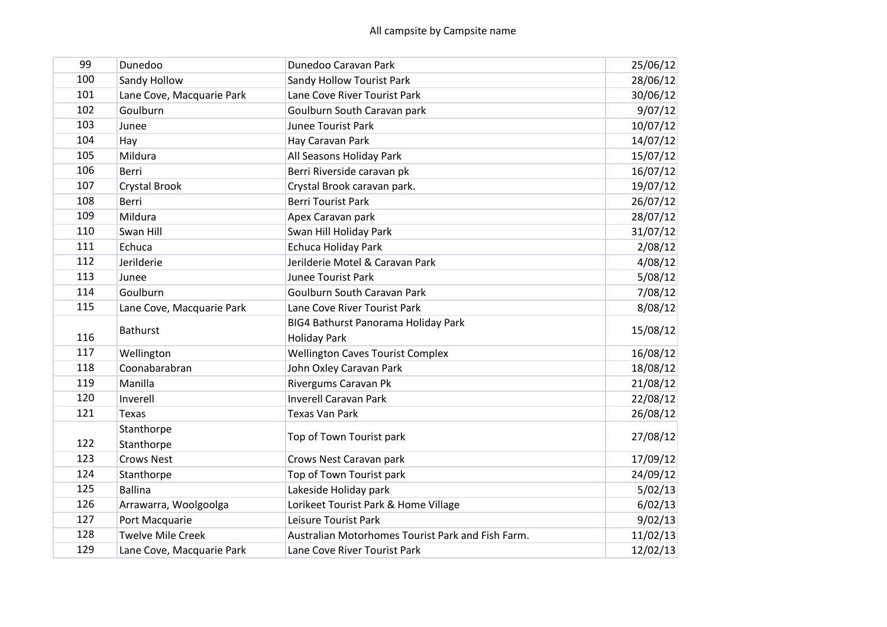| 99  | Dunedoo                   | Dunedoo Caravan Park                              | 25/06/12 |
|-----|---------------------------|---------------------------------------------------|----------|
| 100 | Sandy Hollow              | <b>Sandy Hollow Tourist Park</b>                  | 28/06/12 |
| 101 | Lane Cove, Macquarie Park | Lane Cove River Tourist Park                      | 30/06/12 |
| 102 | Goulburn                  | Goulburn South Caravan park                       | 9/07/12  |
| 103 | Junee                     | <b>Junee Tourist Park</b>                         | 10/07/12 |
| 104 | Hay                       | Hay Caravan Park                                  | 14/07/12 |
| 105 | Mildura                   | All Seasons Holiday Park                          | 15/07/12 |
| 106 | Berri                     | Berri Riverside caravan pk                        | 16/07/12 |
| 107 | Crystal Brook             | Crystal Brook caravan park.                       | 19/07/12 |
| 108 | Berri                     | <b>Berri Tourist Park</b>                         | 26/07/12 |
| 109 | Mildura                   | Apex Caravan park                                 | 28/07/12 |
| 110 | Swan Hill                 | Swan Hill Holiday Park                            | 31/07/12 |
| 111 | Echuca                    | Echuca Holiday Park                               | 2/08/12  |
| 112 | Jerilderie                | Jerilderie Motel & Caravan Park                   | 4/08/12  |
| 113 | Junee                     | <b>Junee Tourist Park</b>                         | 5/08/12  |
| 114 | Goulburn                  | Goulburn South Caravan Park                       | 7/08/12  |
| 115 | Lane Cove, Macquarie Park | Lane Cove River Tourist Park                      | 8/08/12  |
|     | <b>Bathurst</b>           | BIG4 Bathurst Panorama Holiday Park               | 15/08/12 |
| 116 |                           | <b>Holiday Park</b>                               |          |
| 117 | Wellington                | <b>Wellington Caves Tourist Complex</b>           | 16/08/12 |
| 118 | Coonabarabran             | John Oxley Caravan Park                           | 18/08/12 |
| 119 | Manilla                   | Rivergums Caravan Pk                              | 21/08/12 |
| 120 | Inverell                  | <b>Inverell Caravan Park</b>                      | 22/08/12 |
| 121 | <b>Texas</b>              | <b>Texas Van Park</b>                             | 26/08/12 |
|     | Stanthorpe                |                                                   |          |
| 122 | Stanthorpe                | Top of Town Tourist park                          | 27/08/12 |
| 123 | <b>Crows Nest</b>         | Crows Nest Caravan park                           | 17/09/12 |
| 124 | Stanthorpe                | Top of Town Tourist park                          | 24/09/12 |
| 125 | <b>Ballina</b>            | Lakeside Holiday park                             | 5/02/13  |
| 126 | Arrawarra, Woolgoolga     | Lorikeet Tourist Park & Home Village              | 6/02/13  |
| 127 | Port Macquarie            | Leisure Tourist Park                              | 9/02/13  |
| 128 | <b>Twelve Mile Creek</b>  | Australian Motorhomes Tourist Park and Fish Farm. | 11/02/13 |
| 129 | Lane Cove, Macquarie Park | Lane Cove River Tourist Park                      | 12/02/13 |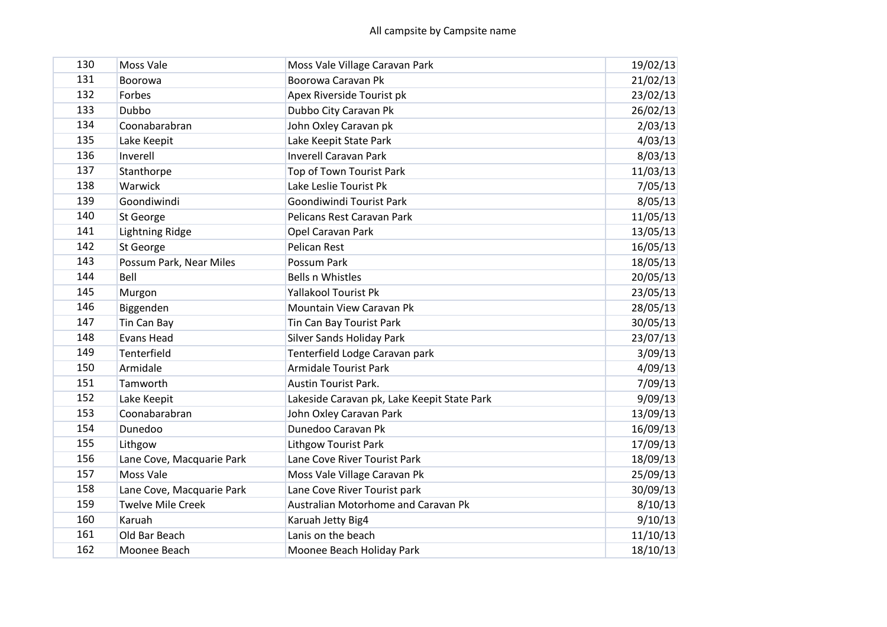| 130 | Moss Vale                 | Moss Vale Village Caravan Park              | 19/02/13 |
|-----|---------------------------|---------------------------------------------|----------|
| 131 | Boorowa                   | Boorowa Caravan Pk                          | 21/02/13 |
| 132 | Forbes                    | Apex Riverside Tourist pk                   | 23/02/13 |
| 133 | Dubbo                     | Dubbo City Caravan Pk                       | 26/02/13 |
| 134 | Coonabarabran             | John Oxley Caravan pk                       | 2/03/13  |
| 135 |                           |                                             |          |
| 136 | Lake Keepit               | Lake Keepit State Park                      | 4/03/13  |
| 137 | Inverell                  | <b>Inverell Caravan Park</b>                | 8/03/13  |
|     | Stanthorpe                | Top of Town Tourist Park                    | 11/03/13 |
| 138 | Warwick                   | Lake Leslie Tourist Pk                      | 7/05/13  |
| 139 | Goondiwindi               | Goondiwindi Tourist Park                    | 8/05/13  |
| 140 | St George                 | Pelicans Rest Caravan Park                  | 11/05/13 |
| 141 | <b>Lightning Ridge</b>    | Opel Caravan Park                           | 13/05/13 |
| 142 | St George                 | <b>Pelican Rest</b>                         | 16/05/13 |
| 143 | Possum Park, Near Miles   | Possum Park                                 | 18/05/13 |
| 144 | Bell                      | <b>Bells n Whistles</b>                     | 20/05/13 |
| 145 | Murgon                    | <b>Yallakool Tourist Pk</b>                 | 23/05/13 |
| 146 | Biggenden                 | Mountain View Caravan Pk                    | 28/05/13 |
| 147 | Tin Can Bay               | Tin Can Bay Tourist Park                    | 30/05/13 |
| 148 | <b>Evans Head</b>         | <b>Silver Sands Holiday Park</b>            | 23/07/13 |
| 149 | Tenterfield               | Tenterfield Lodge Caravan park              | 3/09/13  |
| 150 | Armidale                  | <b>Armidale Tourist Park</b>                | 4/09/13  |
| 151 | Tamworth                  | <b>Austin Tourist Park.</b>                 | 7/09/13  |
| 152 | Lake Keepit               | Lakeside Caravan pk, Lake Keepit State Park | 9/09/13  |
| 153 | Coonabarabran             | John Oxley Caravan Park                     | 13/09/13 |
| 154 | Dunedoo                   | Dunedoo Caravan Pk                          | 16/09/13 |
| 155 | Lithgow                   | <b>Lithgow Tourist Park</b>                 | 17/09/13 |
| 156 | Lane Cove, Macquarie Park | Lane Cove River Tourist Park                | 18/09/13 |
| 157 | Moss Vale                 | Moss Vale Village Caravan Pk                | 25/09/13 |
| 158 | Lane Cove, Macquarie Park | Lane Cove River Tourist park                | 30/09/13 |
| 159 | <b>Twelve Mile Creek</b>  | Australian Motorhome and Caravan Pk         | 8/10/13  |
| 160 | Karuah                    | Karuah Jetty Big4                           | 9/10/13  |
| 161 | Old Bar Beach             | Lanis on the beach                          | 11/10/13 |
| 162 | Moonee Beach              | Moonee Beach Holiday Park                   | 18/10/13 |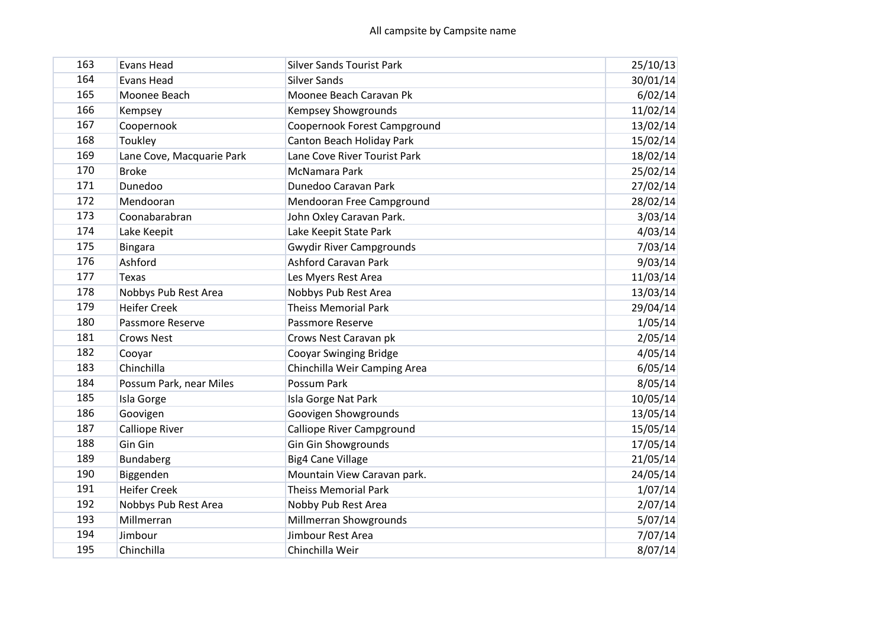| 163 | <b>Evans Head</b>         | <b>Silver Sands Tourist Park</b> | 25/10/13 |
|-----|---------------------------|----------------------------------|----------|
| 164 | <b>Evans Head</b>         | <b>Silver Sands</b>              | 30/01/14 |
| 165 | Moonee Beach              | Moonee Beach Caravan Pk          | 6/02/14  |
| 166 | Kempsey                   | <b>Kempsey Showgrounds</b>       | 11/02/14 |
| 167 | Coopernook                | Coopernook Forest Campground     | 13/02/14 |
| 168 | Toukley                   | Canton Beach Holiday Park        | 15/02/14 |
| 169 | Lane Cove, Macquarie Park | Lane Cove River Tourist Park     | 18/02/14 |
| 170 | <b>Broke</b>              | McNamara Park                    | 25/02/14 |
| 171 | Dunedoo                   | Dunedoo Caravan Park             | 27/02/14 |
| 172 | Mendooran                 | Mendooran Free Campground        | 28/02/14 |
| 173 | Coonabarabran             | John Oxley Caravan Park.         | 3/03/14  |
| 174 | Lake Keepit               | Lake Keepit State Park           | 4/03/14  |
| 175 | <b>Bingara</b>            | <b>Gwydir River Campgrounds</b>  | 7/03/14  |
| 176 | Ashford                   | <b>Ashford Caravan Park</b>      | 9/03/14  |
| 177 | <b>Texas</b>              | Les Myers Rest Area              | 11/03/14 |
| 178 | Nobbys Pub Rest Area      | Nobbys Pub Rest Area             | 13/03/14 |
| 179 | <b>Heifer Creek</b>       | <b>Theiss Memorial Park</b>      | 29/04/14 |
| 180 | Passmore Reserve          | Passmore Reserve                 | 1/05/14  |
| 181 | <b>Crows Nest</b>         | Crows Nest Caravan pk            | 2/05/14  |
| 182 | Cooyar                    | <b>Cooyar Swinging Bridge</b>    | 4/05/14  |
| 183 | Chinchilla                | Chinchilla Weir Camping Area     | 6/05/14  |
| 184 | Possum Park, near Miles   | Possum Park                      | 8/05/14  |
| 185 | Isla Gorge                | Isla Gorge Nat Park              | 10/05/14 |
| 186 | Goovigen                  | Goovigen Showgrounds             | 13/05/14 |
| 187 | Calliope River            | Calliope River Campground        | 15/05/14 |
| 188 | Gin Gin                   | <b>Gin Gin Showgrounds</b>       | 17/05/14 |
| 189 | Bundaberg                 | <b>Big4 Cane Village</b>         | 21/05/14 |
| 190 | Biggenden                 | Mountain View Caravan park.      | 24/05/14 |
| 191 | <b>Heifer Creek</b>       | <b>Theiss Memorial Park</b>      | 1/07/14  |
| 192 | Nobbys Pub Rest Area      | Nobby Pub Rest Area              | 2/07/14  |
| 193 | Millmerran                | Millmerran Showgrounds           | 5/07/14  |
| 194 | Jimbour                   | Jimbour Rest Area                | 7/07/14  |
| 195 | Chinchilla                | Chinchilla Weir                  | 8/07/14  |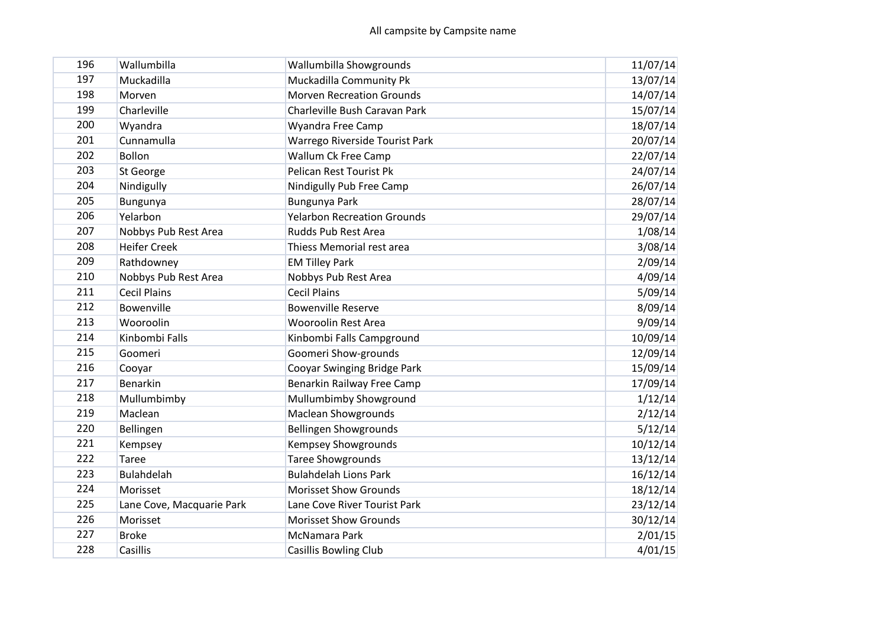| 196 | Wallumbilla               | Wallumbilla Showgrounds            | 11/07/14 |
|-----|---------------------------|------------------------------------|----------|
| 197 | Muckadilla                | Muckadilla Community Pk            | 13/07/14 |
| 198 | Morven                    | <b>Morven Recreation Grounds</b>   | 14/07/14 |
| 199 | Charleville               | Charleville Bush Caravan Park      | 15/07/14 |
| 200 | Wyandra                   | Wyandra Free Camp                  | 18/07/14 |
| 201 | Cunnamulla                | Warrego Riverside Tourist Park     | 20/07/14 |
| 202 | <b>Bollon</b>             | <b>Wallum Ck Free Camp</b>         | 22/07/14 |
| 203 | St George                 | Pelican Rest Tourist Pk            | 24/07/14 |
| 204 | Nindigully                | Nindigully Pub Free Camp           | 26/07/14 |
| 205 | Bungunya                  | Bungunya Park                      | 28/07/14 |
| 206 | Yelarbon                  | <b>Yelarbon Recreation Grounds</b> | 29/07/14 |
| 207 | Nobbys Pub Rest Area      | Rudds Pub Rest Area                | 1/08/14  |
| 208 | <b>Heifer Creek</b>       | Thiess Memorial rest area          | 3/08/14  |
| 209 | Rathdowney                | <b>EM Tilley Park</b>              | 2/09/14  |
| 210 | Nobbys Pub Rest Area      | Nobbys Pub Rest Area               | 4/09/14  |
| 211 | <b>Cecil Plains</b>       | <b>Cecil Plains</b>                | 5/09/14  |
| 212 | Bowenville                | <b>Bowenville Reserve</b>          | 8/09/14  |
| 213 | Wooroolin                 | <b>Wooroolin Rest Area</b>         | 9/09/14  |
| 214 | Kinbombi Falls            | Kinbombi Falls Campground          | 10/09/14 |
| 215 | Goomeri                   | Goomeri Show-grounds               | 12/09/14 |
| 216 | Cooyar                    | Cooyar Swinging Bridge Park        | 15/09/14 |
| 217 | Benarkin                  | Benarkin Railway Free Camp         | 17/09/14 |
| 218 | Mullumbimby               | Mullumbimby Showground             | 1/12/14  |
| 219 | Maclean                   | <b>Maclean Showgrounds</b>         | 2/12/14  |
| 220 | Bellingen                 | <b>Bellingen Showgrounds</b>       | 5/12/14  |
| 221 | Kempsey                   | <b>Kempsey Showgrounds</b>         | 10/12/14 |
| 222 | <b>Taree</b>              | <b>Taree Showgrounds</b>           | 13/12/14 |
| 223 | <b>Bulahdelah</b>         | <b>Bulahdelah Lions Park</b>       | 16/12/14 |
| 224 | Morisset                  | <b>Morisset Show Grounds</b>       | 18/12/14 |
| 225 | Lane Cove, Macquarie Park | Lane Cove River Tourist Park       | 23/12/14 |
| 226 | Morisset                  | <b>Morisset Show Grounds</b>       | 30/12/14 |
| 227 | <b>Broke</b>              | McNamara Park                      | 2/01/15  |
| 228 | Casillis                  | <b>Casillis Bowling Club</b>       | 4/01/15  |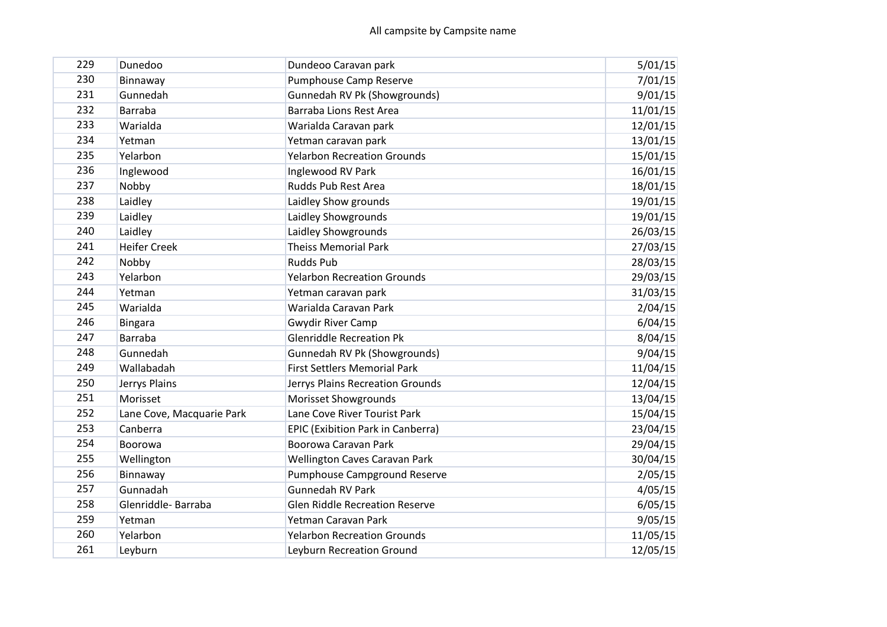| 229 | Dunedoo                   | Dundeoo Caravan park                     | 5/01/15  |
|-----|---------------------------|------------------------------------------|----------|
| 230 | Binnaway                  | Pumphouse Camp Reserve                   | 7/01/15  |
| 231 | Gunnedah                  | Gunnedah RV Pk (Showgrounds)             | 9/01/15  |
| 232 | <b>Barraba</b>            | Barraba Lions Rest Area                  | 11/01/15 |
| 233 | Warialda                  | Warialda Caravan park                    | 12/01/15 |
| 234 | Yetman                    | Yetman caravan park                      | 13/01/15 |
| 235 | Yelarbon                  | <b>Yelarbon Recreation Grounds</b>       | 15/01/15 |
| 236 | Inglewood                 | Inglewood RV Park                        | 16/01/15 |
| 237 | Nobby                     | Rudds Pub Rest Area                      | 18/01/15 |
| 238 | Laidley                   | Laidley Show grounds                     | 19/01/15 |
| 239 | Laidley                   | Laidley Showgrounds                      | 19/01/15 |
| 240 | Laidley                   | Laidley Showgrounds                      | 26/03/15 |
| 241 | <b>Heifer Creek</b>       | <b>Theiss Memorial Park</b>              | 27/03/15 |
| 242 | Nobby                     | <b>Rudds Pub</b>                         | 28/03/15 |
| 243 | Yelarbon                  | <b>Yelarbon Recreation Grounds</b>       | 29/03/15 |
| 244 | Yetman                    | Yetman caravan park                      | 31/03/15 |
| 245 | Warialda                  | Warialda Caravan Park                    | 2/04/15  |
| 246 | <b>Bingara</b>            | <b>Gwydir River Camp</b>                 | 6/04/15  |
| 247 | <b>Barraba</b>            | <b>Glenriddle Recreation Pk</b>          | 8/04/15  |
| 248 | Gunnedah                  | Gunnedah RV Pk (Showgrounds)             | 9/04/15  |
| 249 | Wallabadah                | <b>First Settlers Memorial Park</b>      | 11/04/15 |
| 250 | Jerrys Plains             | Jerrys Plains Recreation Grounds         | 12/04/15 |
| 251 | Morisset                  | Morisset Showgrounds                     | 13/04/15 |
| 252 | Lane Cove, Macquarie Park | Lane Cove River Tourist Park             | 15/04/15 |
| 253 | Canberra                  | <b>EPIC (Exibition Park in Canberra)</b> | 23/04/15 |
| 254 | Boorowa                   | Boorowa Caravan Park                     | 29/04/15 |
| 255 | Wellington                | Wellington Caves Caravan Park            | 30/04/15 |
| 256 | Binnaway                  | Pumphouse Campground Reserve             | 2/05/15  |
| 257 | Gunnadah                  | <b>Gunnedah RV Park</b>                  | 4/05/15  |
| 258 | Glenriddle-Barraba        | <b>Glen Riddle Recreation Reserve</b>    | 6/05/15  |
| 259 | Yetman                    | Yetman Caravan Park                      | 9/05/15  |
| 260 | Yelarbon                  | <b>Yelarbon Recreation Grounds</b>       | 11/05/15 |
| 261 | Leyburn                   | Leyburn Recreation Ground                | 12/05/15 |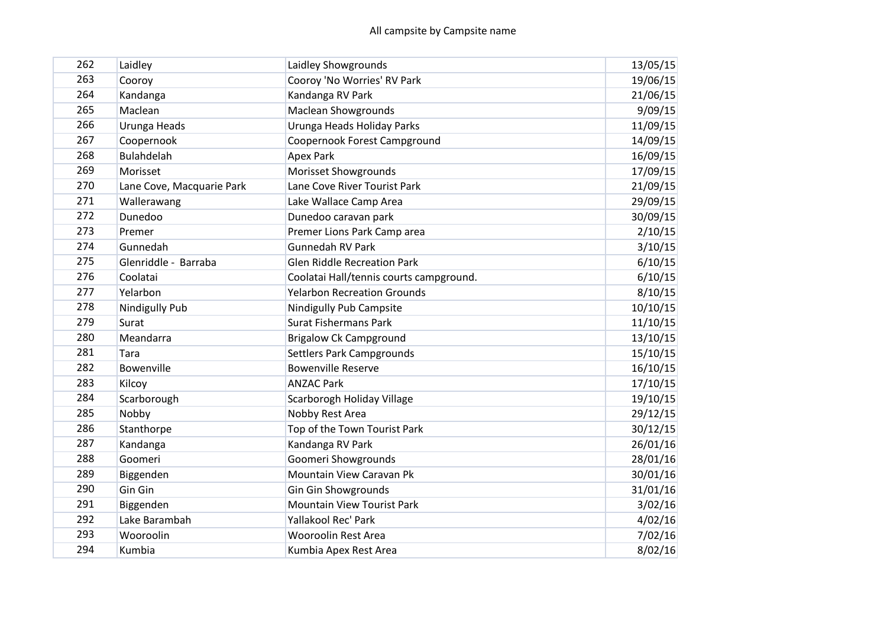| 262 | Laidley                   | Laidley Showgrounds                     | 13/05/15 |
|-----|---------------------------|-----------------------------------------|----------|
| 263 | Cooroy                    | Cooroy 'No Worries' RV Park             | 19/06/15 |
| 264 | Kandanga                  | Kandanga RV Park                        | 21/06/15 |
| 265 | Maclean                   | <b>Maclean Showgrounds</b>              | 9/09/15  |
| 266 | Urunga Heads              | Urunga Heads Holiday Parks              | 11/09/15 |
| 267 | Coopernook                | Coopernook Forest Campground            | 14/09/15 |
| 268 | <b>Bulahdelah</b>         | <b>Apex Park</b>                        | 16/09/15 |
| 269 | Morisset                  | <b>Morisset Showgrounds</b>             | 17/09/15 |
| 270 | Lane Cove, Macquarie Park | Lane Cove River Tourist Park            | 21/09/15 |
| 271 | Wallerawang               | Lake Wallace Camp Area                  | 29/09/15 |
| 272 | Dunedoo                   | Dunedoo caravan park                    | 30/09/15 |
| 273 | Premer                    | Premer Lions Park Camp area             | 2/10/15  |
| 274 | Gunnedah                  | <b>Gunnedah RV Park</b>                 | 3/10/15  |
| 275 | Glenriddle - Barraba      | <b>Glen Riddle Recreation Park</b>      | 6/10/15  |
| 276 | Coolatai                  | Coolatai Hall/tennis courts campground. | 6/10/15  |
| 277 | Yelarbon                  | <b>Yelarbon Recreation Grounds</b>      | 8/10/15  |
| 278 | Nindigully Pub            | Nindigully Pub Campsite                 | 10/10/15 |
| 279 | Surat                     | <b>Surat Fishermans Park</b>            | 11/10/15 |
| 280 | Meandarra                 | <b>Brigalow Ck Campground</b>           | 13/10/15 |
| 281 | Tara                      | Settlers Park Campgrounds               | 15/10/15 |
| 282 | Bowenville                | <b>Bowenville Reserve</b>               | 16/10/15 |
| 283 | Kilcoy                    | <b>ANZAC Park</b>                       | 17/10/15 |
| 284 | Scarborough               | Scarborogh Holiday Village              | 19/10/15 |
| 285 | Nobby                     | Nobby Rest Area                         | 29/12/15 |
| 286 | Stanthorpe                | Top of the Town Tourist Park            | 30/12/15 |
| 287 | Kandanga                  | Kandanga RV Park                        | 26/01/16 |
| 288 | Goomeri                   | Goomeri Showgrounds                     | 28/01/16 |
| 289 | Biggenden                 | Mountain View Caravan Pk                | 30/01/16 |
| 290 | Gin Gin                   | <b>Gin Gin Showgrounds</b>              | 31/01/16 |
| 291 | Biggenden                 | <b>Mountain View Tourist Park</b>       | 3/02/16  |
| 292 | Lake Barambah             | Yallakool Rec' Park                     | 4/02/16  |
| 293 | Wooroolin                 | <b>Wooroolin Rest Area</b>              | 7/02/16  |
| 294 | Kumbia                    | Kumbia Apex Rest Area                   | 8/02/16  |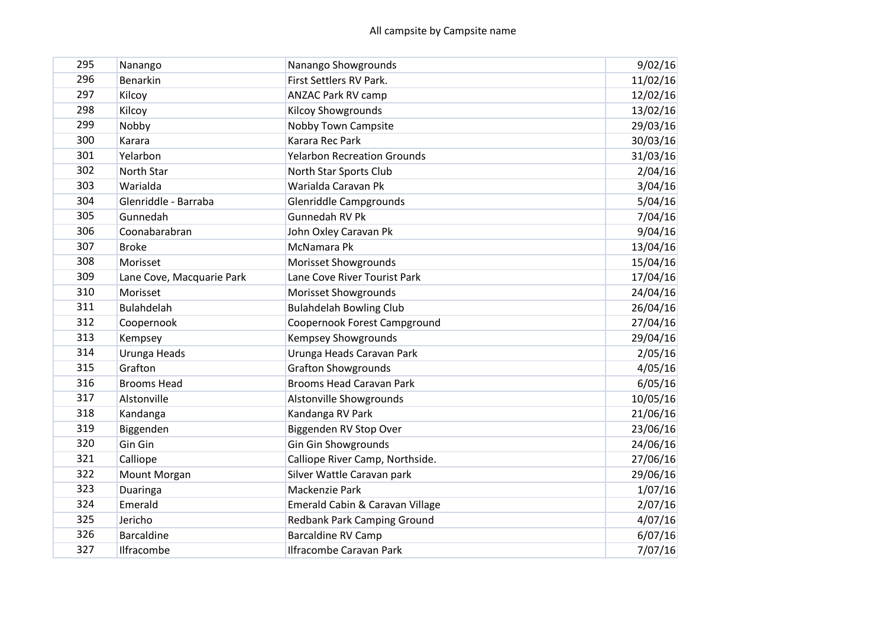| 295 | Nanango                   | Nanango Showgrounds                | 9/02/16  |
|-----|---------------------------|------------------------------------|----------|
| 296 | <b>Benarkin</b>           | First Settlers RV Park.            | 11/02/16 |
| 297 | Kilcoy                    | <b>ANZAC Park RV camp</b>          | 12/02/16 |
| 298 | Kilcoy                    | <b>Kilcoy Showgrounds</b>          | 13/02/16 |
| 299 | Nobby                     | Nobby Town Campsite                | 29/03/16 |
| 300 | Karara                    | Karara Rec Park                    | 30/03/16 |
| 301 | Yelarbon                  | <b>Yelarbon Recreation Grounds</b> | 31/03/16 |
| 302 | North Star                | North Star Sports Club             | 2/04/16  |
| 303 | Warialda                  | Warialda Caravan Pk                | 3/04/16  |
| 304 | Glenriddle - Barraba      | Glenriddle Campgrounds             | 5/04/16  |
| 305 | Gunnedah                  | Gunnedah RV Pk                     | 7/04/16  |
| 306 | Coonabarabran             | John Oxley Caravan Pk              | 9/04/16  |
| 307 | <b>Broke</b>              | McNamara Pk                        | 13/04/16 |
| 308 | Morisset                  | Morisset Showgrounds               | 15/04/16 |
| 309 | Lane Cove, Macquarie Park | Lane Cove River Tourist Park       | 17/04/16 |
| 310 | Morisset                  | <b>Morisset Showgrounds</b>        | 24/04/16 |
| 311 | <b>Bulahdelah</b>         | <b>Bulahdelah Bowling Club</b>     | 26/04/16 |
| 312 | Coopernook                | Coopernook Forest Campground       | 27/04/16 |
| 313 | Kempsey                   | <b>Kempsey Showgrounds</b>         | 29/04/16 |
| 314 | Urunga Heads              | Urunga Heads Caravan Park          | 2/05/16  |
| 315 | Grafton                   | <b>Grafton Showgrounds</b>         | 4/05/16  |
| 316 | <b>Brooms Head</b>        | <b>Brooms Head Caravan Park</b>    | 6/05/16  |
| 317 | Alstonville               | Alstonville Showgrounds            | 10/05/16 |
| 318 | Kandanga                  | Kandanga RV Park                   | 21/06/16 |
| 319 | Biggenden                 | Biggenden RV Stop Over             | 23/06/16 |
| 320 | Gin Gin                   | Gin Gin Showgrounds                | 24/06/16 |
| 321 | Calliope                  | Calliope River Camp, Northside.    | 27/06/16 |
| 322 | Mount Morgan              | Silver Wattle Caravan park         | 29/06/16 |
| 323 | Duaringa                  | Mackenzie Park                     | 1/07/16  |
| 324 | Emerald                   | Emerald Cabin & Caravan Village    | 2/07/16  |
| 325 | Jericho                   | <b>Redbank Park Camping Ground</b> | 4/07/16  |
| 326 | <b>Barcaldine</b>         | <b>Barcaldine RV Camp</b>          | 6/07/16  |
| 327 | Ilfracombe                | <b>Ilfracombe Caravan Park</b>     | 7/07/16  |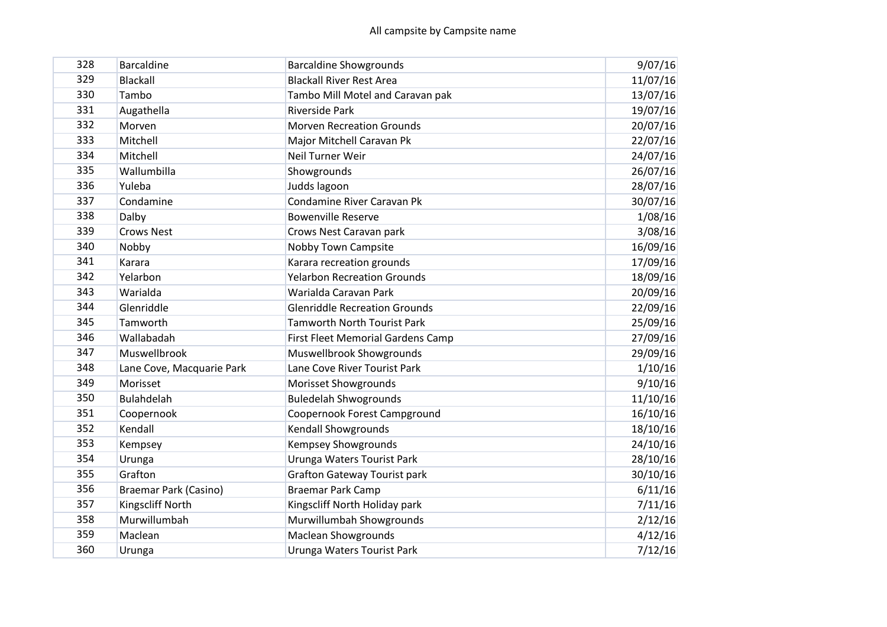| 328 | <b>Barcaldine</b>         |                                                                  |                     |
|-----|---------------------------|------------------------------------------------------------------|---------------------|
| 329 | <b>Blackall</b>           | <b>Barcaldine Showgrounds</b><br><b>Blackall River Rest Area</b> | 9/07/16<br>11/07/16 |
| 330 | Tambo                     |                                                                  |                     |
| 331 |                           | Tambo Mill Motel and Caravan pak                                 | 13/07/16            |
|     | Augathella                | <b>Riverside Park</b>                                            | 19/07/16            |
| 332 | Morven                    | <b>Morven Recreation Grounds</b>                                 | 20/07/16            |
| 333 | Mitchell                  | Major Mitchell Caravan Pk                                        | 22/07/16            |
| 334 | Mitchell                  | Neil Turner Weir                                                 | 24/07/16            |
| 335 | Wallumbilla               | Showgrounds                                                      | 26/07/16            |
| 336 | Yuleba                    | Judds lagoon                                                     | 28/07/16            |
| 337 | Condamine                 | Condamine River Caravan Pk                                       | 30/07/16            |
| 338 | Dalby                     | <b>Bowenville Reserve</b>                                        | 1/08/16             |
| 339 | <b>Crows Nest</b>         | Crows Nest Caravan park                                          | 3/08/16             |
| 340 | Nobby                     | <b>Nobby Town Campsite</b>                                       | 16/09/16            |
| 341 | Karara                    | Karara recreation grounds                                        | 17/09/16            |
| 342 | Yelarbon                  | <b>Yelarbon Recreation Grounds</b>                               | 18/09/16            |
| 343 | Warialda                  | Warialda Caravan Park                                            | 20/09/16            |
| 344 | Glenriddle                | <b>Glenriddle Recreation Grounds</b>                             | 22/09/16            |
| 345 | Tamworth                  | <b>Tamworth North Tourist Park</b>                               | 25/09/16            |
| 346 | Wallabadah                | <b>First Fleet Memorial Gardens Camp</b>                         | 27/09/16            |
| 347 | Muswellbrook              | Muswellbrook Showgrounds                                         | 29/09/16            |
| 348 | Lane Cove, Macquarie Park | Lane Cove River Tourist Park                                     | 1/10/16             |
| 349 | Morisset                  | Morisset Showgrounds                                             | 9/10/16             |
| 350 | <b>Bulahdelah</b>         | <b>Buledelah Shwogrounds</b>                                     | 11/10/16            |
| 351 | Coopernook                | Coopernook Forest Campground                                     | 16/10/16            |
| 352 | Kendall                   | Kendall Showgrounds                                              | 18/10/16            |
| 353 | Kempsey                   | Kempsey Showgrounds                                              | 24/10/16            |
| 354 | Urunga                    | Urunga Waters Tourist Park                                       | 28/10/16            |
| 355 | Grafton                   | <b>Grafton Gateway Tourist park</b>                              | 30/10/16            |
| 356 | Braemar Park (Casino)     | <b>Braemar Park Camp</b>                                         | 6/11/16             |
| 357 | Kingscliff North          | Kingscliff North Holiday park                                    | 7/11/16             |
| 358 | Murwillumbah              | Murwillumbah Showgrounds                                         | 2/12/16             |
| 359 | Maclean                   | <b>Maclean Showgrounds</b>                                       | 4/12/16             |
| 360 | Urunga                    | Urunga Waters Tourist Park                                       | 7/12/16             |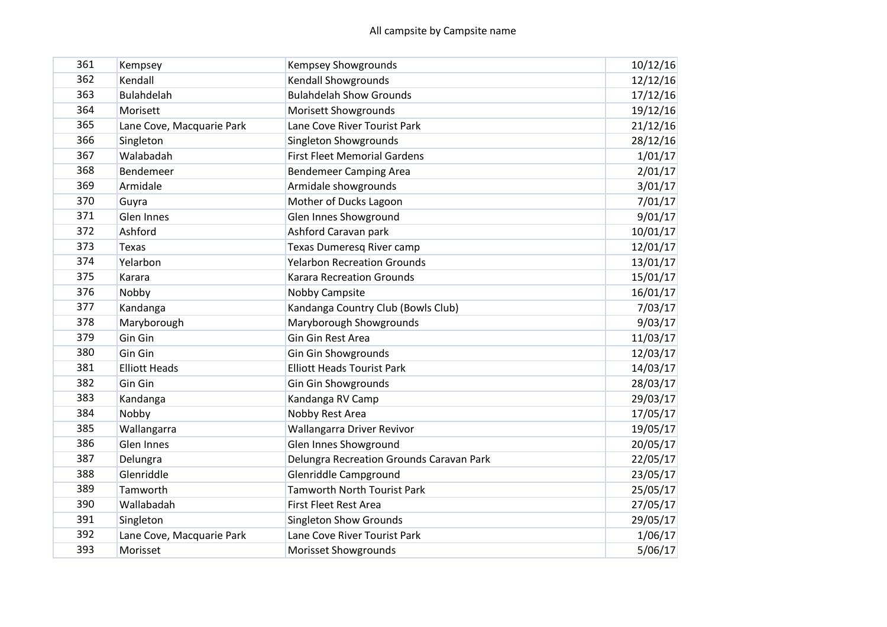| 361 | Kempsey                   | <b>Kempsey Showgrounds</b>               | 10/12/16 |
|-----|---------------------------|------------------------------------------|----------|
| 362 | Kendall                   | <b>Kendall Showgrounds</b>               | 12/12/16 |
| 363 | <b>Bulahdelah</b>         | <b>Bulahdelah Show Grounds</b>           | 17/12/16 |
| 364 | Morisett                  | Morisett Showgrounds                     | 19/12/16 |
| 365 | Lane Cove, Macquarie Park | Lane Cove River Tourist Park             | 21/12/16 |
| 366 | Singleton                 | Singleton Showgrounds                    | 28/12/16 |
| 367 | Walabadah                 | <b>First Fleet Memorial Gardens</b>      | 1/01/17  |
| 368 | Bendemeer                 | <b>Bendemeer Camping Area</b>            | 2/01/17  |
| 369 | Armidale                  | Armidale showgrounds                     | 3/01/17  |
| 370 | Guyra                     | Mother of Ducks Lagoon                   | 7/01/17  |
| 371 | Glen Innes                | Glen Innes Showground                    | 9/01/17  |
| 372 | Ashford                   | Ashford Caravan park                     | 10/01/17 |
| 373 | <b>Texas</b>              | <b>Texas Dumeresg River camp</b>         | 12/01/17 |
| 374 | Yelarbon                  | <b>Yelarbon Recreation Grounds</b>       | 13/01/17 |
| 375 | Karara                    | <b>Karara Recreation Grounds</b>         | 15/01/17 |
| 376 | Nobby                     | Nobby Campsite                           | 16/01/17 |
| 377 | Kandanga                  | Kandanga Country Club (Bowls Club)       | 7/03/17  |
| 378 | Maryborough               | Maryborough Showgrounds                  | 9/03/17  |
| 379 | Gin Gin                   | Gin Gin Rest Area                        | 11/03/17 |
| 380 | Gin Gin                   | Gin Gin Showgrounds                      | 12/03/17 |
| 381 | <b>Elliott Heads</b>      | <b>Elliott Heads Tourist Park</b>        | 14/03/17 |
| 382 | Gin Gin                   | <b>Gin Gin Showgrounds</b>               | 28/03/17 |
| 383 | Kandanga                  | Kandanga RV Camp                         | 29/03/17 |
| 384 | Nobby                     | Nobby Rest Area                          | 17/05/17 |
| 385 | Wallangarra               | Wallangarra Driver Revivor               | 19/05/17 |
| 386 | Glen Innes                | Glen Innes Showground                    | 20/05/17 |
| 387 | Delungra                  | Delungra Recreation Grounds Caravan Park | 22/05/17 |
| 388 | Glenriddle                | Glenriddle Campground                    | 23/05/17 |
| 389 | Tamworth                  | <b>Tamworth North Tourist Park</b>       | 25/05/17 |
| 390 | Wallabadah                | <b>First Fleet Rest Area</b>             | 27/05/17 |
| 391 | Singleton                 | <b>Singleton Show Grounds</b>            | 29/05/17 |
| 392 | Lane Cove, Macquarie Park | Lane Cove River Tourist Park             | 1/06/17  |
| 393 | Morisset                  | Morisset Showgrounds                     | 5/06/17  |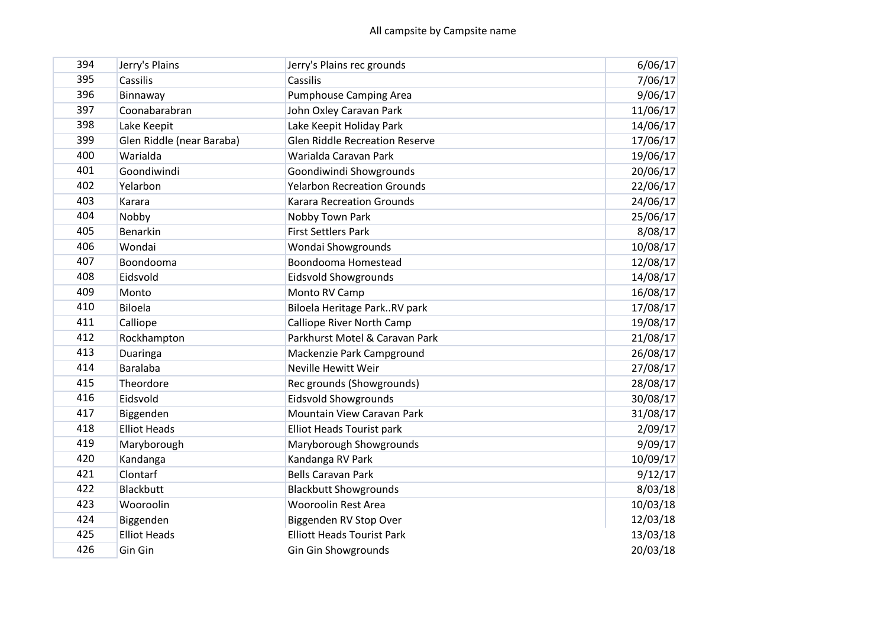| 394 | Jerry's Plains            | Jerry's Plains rec grounds            | 6/06/17  |
|-----|---------------------------|---------------------------------------|----------|
| 395 | Cassilis                  | Cassilis                              | 7/06/17  |
| 396 | Binnaway                  | <b>Pumphouse Camping Area</b>         | 9/06/17  |
| 397 | Coonabarabran             | John Oxley Caravan Park               | 11/06/17 |
| 398 | Lake Keepit               | Lake Keepit Holiday Park              | 14/06/17 |
| 399 | Glen Riddle (near Baraba) | <b>Glen Riddle Recreation Reserve</b> | 17/06/17 |
| 400 | Warialda                  | Warialda Caravan Park                 | 19/06/17 |
| 401 | Goondiwindi               | Goondiwindi Showgrounds               | 20/06/17 |
| 402 | Yelarbon                  | <b>Yelarbon Recreation Grounds</b>    | 22/06/17 |
| 403 | Karara                    | <b>Karara Recreation Grounds</b>      | 24/06/17 |
| 404 | Nobby                     | Nobby Town Park                       | 25/06/17 |
| 405 | Benarkin                  | <b>First Settlers Park</b>            | 8/08/17  |
| 406 | Wondai                    | Wondai Showgrounds                    | 10/08/17 |
| 407 | Boondooma                 | Boondooma Homestead                   | 12/08/17 |
| 408 | Eidsvold                  | <b>Eidsvold Showgrounds</b>           | 14/08/17 |
| 409 | Monto                     | Monto RV Camp                         | 16/08/17 |
| 410 | Biloela                   | Biloela Heritage ParkRV park          | 17/08/17 |
| 411 | Calliope                  | <b>Calliope River North Camp</b>      | 19/08/17 |
| 412 | Rockhampton               | Parkhurst Motel & Caravan Park        | 21/08/17 |
| 413 | Duaringa                  | Mackenzie Park Campground             | 26/08/17 |
| 414 | <b>Baralaba</b>           | <b>Neville Hewitt Weir</b>            | 27/08/17 |
| 415 | Theordore                 | Rec grounds (Showgrounds)             | 28/08/17 |
| 416 | Eidsvold                  | <b>Eidsvold Showgrounds</b>           | 30/08/17 |
| 417 | Biggenden                 | Mountain View Caravan Park            | 31/08/17 |
| 418 | <b>Elliot Heads</b>       | <b>Elliot Heads Tourist park</b>      | 2/09/17  |
| 419 | Maryborough               | Maryborough Showgrounds               | 9/09/17  |
| 420 | Kandanga                  | Kandanga RV Park                      | 10/09/17 |
| 421 | Clontarf                  | <b>Bells Caravan Park</b>             | 9/12/17  |
| 422 | <b>Blackbutt</b>          | <b>Blackbutt Showgrounds</b>          | 8/03/18  |
| 423 | Wooroolin                 | <b>Wooroolin Rest Area</b>            | 10/03/18 |
| 424 | Biggenden                 | Biggenden RV Stop Over                | 12/03/18 |
| 425 | <b>Elliot Heads</b>       | <b>Elliott Heads Tourist Park</b>     | 13/03/18 |
| 426 | Gin Gin                   | <b>Gin Gin Showgrounds</b>            | 20/03/18 |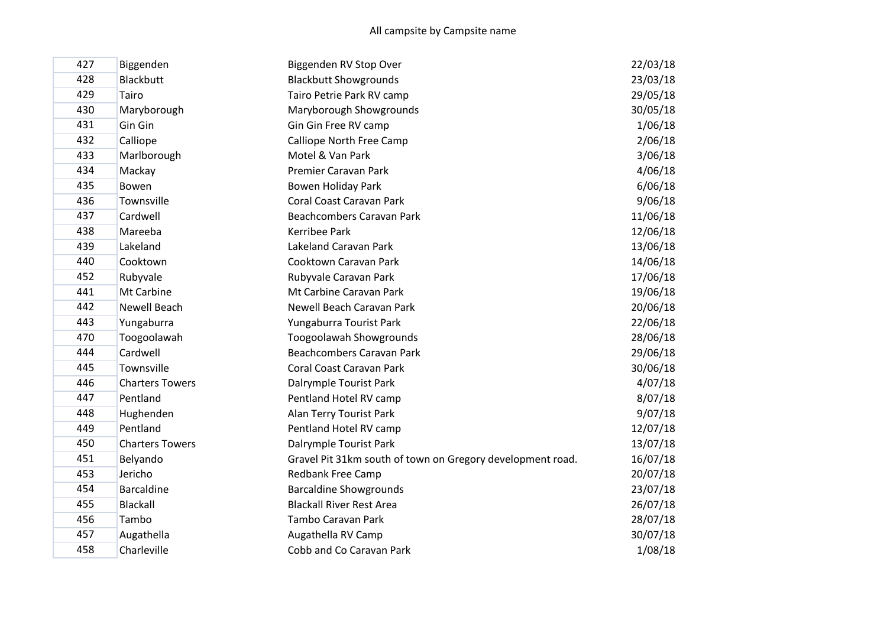| 427 | Biggenden              | Biggenden RV Stop Over                                     | 22/03/18 |
|-----|------------------------|------------------------------------------------------------|----------|
| 428 | <b>Blackbutt</b>       | <b>Blackbutt Showgrounds</b>                               | 23/03/18 |
| 429 | Tairo                  | Tairo Petrie Park RV camp                                  | 29/05/18 |
| 430 | Maryborough            | Maryborough Showgrounds                                    | 30/05/18 |
| 431 | Gin Gin                | Gin Gin Free RV camp                                       | 1/06/18  |
| 432 | Calliope               | Calliope North Free Camp                                   | 2/06/18  |
| 433 | Marlborough            | Motel & Van Park                                           | 3/06/18  |
| 434 | Mackay                 | Premier Caravan Park                                       | 4/06/18  |
| 435 | Bowen                  | Bowen Holiday Park                                         | 6/06/18  |
| 436 | Townsville             | Coral Coast Caravan Park                                   | 9/06/18  |
| 437 | Cardwell               | Beachcombers Caravan Park                                  | 11/06/18 |
| 438 | Mareeba                | Kerribee Park                                              | 12/06/18 |
| 439 | Lakeland               | Lakeland Caravan Park                                      | 13/06/18 |
| 440 | Cooktown               | Cooktown Caravan Park                                      | 14/06/18 |
| 452 | Rubyvale               | Rubyvale Caravan Park                                      | 17/06/18 |
| 441 | Mt Carbine             | Mt Carbine Caravan Park                                    | 19/06/18 |
| 442 | Newell Beach           | Newell Beach Caravan Park                                  | 20/06/18 |
| 443 | Yungaburra             | Yungaburra Tourist Park                                    | 22/06/18 |
| 470 | Toogoolawah            | Toogoolawah Showgrounds                                    | 28/06/18 |
| 444 | Cardwell               | Beachcombers Caravan Park                                  | 29/06/18 |
| 445 | Townsville             | Coral Coast Caravan Park                                   | 30/06/18 |
| 446 | <b>Charters Towers</b> | Dalrymple Tourist Park                                     | 4/07/18  |
| 447 | Pentland               | Pentland Hotel RV camp                                     | 8/07/18  |
| 448 | Hughenden              | Alan Terry Tourist Park                                    | 9/07/18  |
| 449 | Pentland               | Pentland Hotel RV camp                                     | 12/07/18 |
| 450 | <b>Charters Towers</b> | Dalrymple Tourist Park                                     | 13/07/18 |
| 451 | Belyando               | Gravel Pit 31km south of town on Gregory development road. | 16/07/18 |
| 453 | Jericho                | Redbank Free Camp                                          | 20/07/18 |
| 454 | <b>Barcaldine</b>      | <b>Barcaldine Showgrounds</b>                              | 23/07/18 |
| 455 | <b>Blackall</b>        | <b>Blackall River Rest Area</b>                            | 26/07/18 |
| 456 | Tambo                  | Tambo Caravan Park                                         | 28/07/18 |
| 457 | Augathella             | Augathella RV Camp                                         | 30/07/18 |
| 458 | Charleville            | Cobb and Co Caravan Park                                   | 1/08/18  |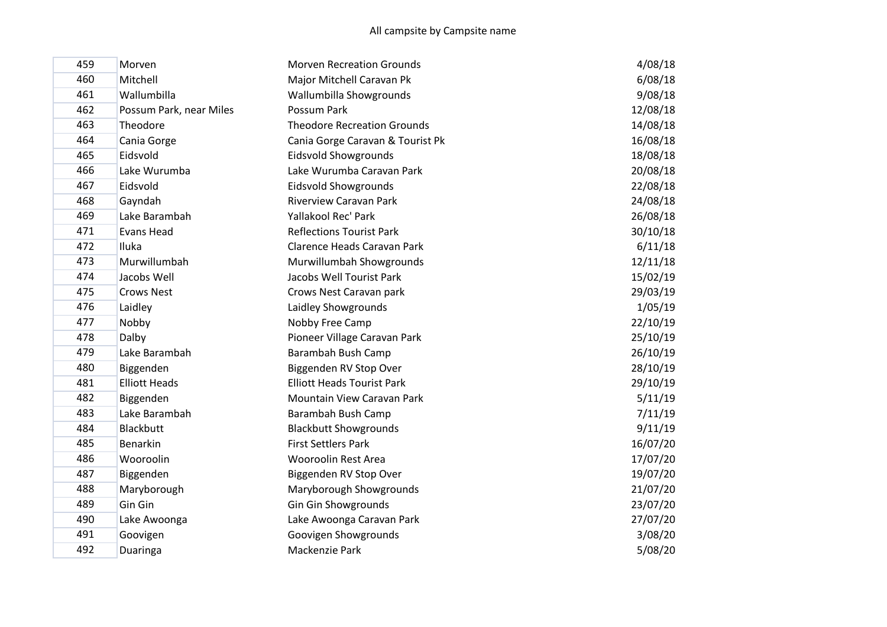| 459 | Morven                  | <b>Morven Recreation Grounds</b>   | 4/08/18  |
|-----|-------------------------|------------------------------------|----------|
| 460 | Mitchell                | Major Mitchell Caravan Pk          | 6/08/18  |
| 461 | Wallumbilla             | Wallumbilla Showgrounds            | 9/08/18  |
| 462 | Possum Park, near Miles | Possum Park                        | 12/08/18 |
| 463 | Theodore                | <b>Theodore Recreation Grounds</b> | 14/08/18 |
| 464 | Cania Gorge             | Cania Gorge Caravan & Tourist Pk   | 16/08/18 |
| 465 | Eidsvold                | <b>Eidsvold Showgrounds</b>        | 18/08/18 |
| 466 | Lake Wurumba            | Lake Wurumba Caravan Park          | 20/08/18 |
| 467 | Eidsvold                | Eidsvold Showgrounds               | 22/08/18 |
| 468 | Gayndah                 | <b>Riverview Caravan Park</b>      | 24/08/18 |
| 469 | Lake Barambah           | Yallakool Rec' Park                | 26/08/18 |
| 471 | <b>Evans Head</b>       | <b>Reflections Tourist Park</b>    | 30/10/18 |
| 472 | Iluka                   | Clarence Heads Caravan Park        | 6/11/18  |
| 473 | Murwillumbah            | Murwillumbah Showgrounds           | 12/11/18 |
| 474 | Jacobs Well             | Jacobs Well Tourist Park           | 15/02/19 |
| 475 | <b>Crows Nest</b>       | Crows Nest Caravan park            | 29/03/19 |
| 476 | Laidley                 | Laidley Showgrounds                | 1/05/19  |
| 477 | Nobby                   | Nobby Free Camp                    | 22/10/19 |
| 478 | Dalby                   | Pioneer Village Caravan Park       | 25/10/19 |
| 479 | Lake Barambah           | Barambah Bush Camp                 | 26/10/19 |
| 480 | Biggenden               | Biggenden RV Stop Over             | 28/10/19 |
| 481 | <b>Elliott Heads</b>    | <b>Elliott Heads Tourist Park</b>  | 29/10/19 |
| 482 | Biggenden               | Mountain View Caravan Park         | 5/11/19  |
| 483 | Lake Barambah           | Barambah Bush Camp                 | 7/11/19  |
| 484 | <b>Blackbutt</b>        | <b>Blackbutt Showgrounds</b>       | 9/11/19  |
| 485 | Benarkin                | <b>First Settlers Park</b>         | 16/07/20 |
| 486 | Wooroolin               | <b>Wooroolin Rest Area</b>         | 17/07/20 |
| 487 | Biggenden               | Biggenden RV Stop Over             | 19/07/20 |
| 488 | Maryborough             | Maryborough Showgrounds            | 21/07/20 |
| 489 | Gin Gin                 | Gin Gin Showgrounds                | 23/07/20 |
| 490 | Lake Awoonga            | Lake Awoonga Caravan Park          | 27/07/20 |
| 491 | Goovigen                | Goovigen Showgrounds               | 3/08/20  |
| 492 | Duaringa                | Mackenzie Park                     | 5/08/20  |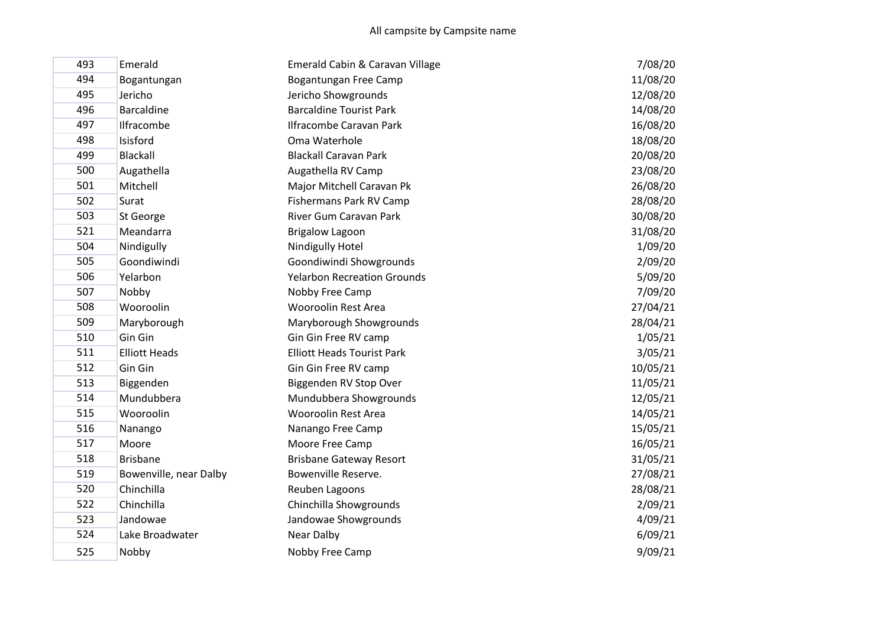| 493 | Emerald                | Emerald Cabin & Caravan Village    | 7/08/20  |
|-----|------------------------|------------------------------------|----------|
| 494 | Bogantungan            | Bogantungan Free Camp              | 11/08/20 |
| 495 | Jericho                | Jericho Showgrounds                | 12/08/20 |
| 496 | <b>Barcaldine</b>      | <b>Barcaldine Tourist Park</b>     | 14/08/20 |
| 497 | Ilfracombe             | <b>Ilfracombe Caravan Park</b>     | 16/08/20 |
| 498 | Isisford               | Oma Waterhole                      | 18/08/20 |
| 499 | Blackall               | <b>Blackall Caravan Park</b>       | 20/08/20 |
| 500 | Augathella             | Augathella RV Camp                 | 23/08/20 |
| 501 | Mitchell               | Major Mitchell Caravan Pk          | 26/08/20 |
| 502 | Surat                  | Fishermans Park RV Camp            | 28/08/20 |
| 503 | St George              | River Gum Caravan Park             | 30/08/20 |
| 521 | Meandarra              | <b>Brigalow Lagoon</b>             | 31/08/20 |
| 504 | Nindigully             | <b>Nindigully Hotel</b>            | 1/09/20  |
| 505 | Goondiwindi            | Goondiwindi Showgrounds            | 2/09/20  |
| 506 | Yelarbon               | <b>Yelarbon Recreation Grounds</b> | 5/09/20  |
| 507 | Nobby                  | Nobby Free Camp                    | 7/09/20  |
| 508 | Wooroolin              | <b>Wooroolin Rest Area</b>         | 27/04/21 |
| 509 | Maryborough            | Maryborough Showgrounds            | 28/04/21 |
| 510 | Gin Gin                | Gin Gin Free RV camp               | 1/05/21  |
| 511 | <b>Elliott Heads</b>   | <b>Elliott Heads Tourist Park</b>  | 3/05/21  |
| 512 | Gin Gin                | Gin Gin Free RV camp               | 10/05/21 |
| 513 | Biggenden              | Biggenden RV Stop Over             | 11/05/21 |
| 514 | Mundubbera             | Mundubbera Showgrounds             | 12/05/21 |
| 515 | Wooroolin              | <b>Wooroolin Rest Area</b>         | 14/05/21 |
| 516 | Nanango                | Nanango Free Camp                  | 15/05/21 |
| 517 | Moore                  | Moore Free Camp                    | 16/05/21 |
| 518 | <b>Brisbane</b>        | <b>Brisbane Gateway Resort</b>     | 31/05/21 |
| 519 | Bowenville, near Dalby | Bowenville Reserve.                | 27/08/21 |
| 520 | Chinchilla             | Reuben Lagoons                     | 28/08/21 |
| 522 | Chinchilla             | Chinchilla Showgrounds             | 2/09/21  |
| 523 | Jandowae               | Jandowae Showgrounds               | 4/09/21  |
| 524 | Lake Broadwater        | Near Dalby                         | 6/09/21  |
| 525 | Nobby                  | Nobby Free Camp                    | 9/09/21  |